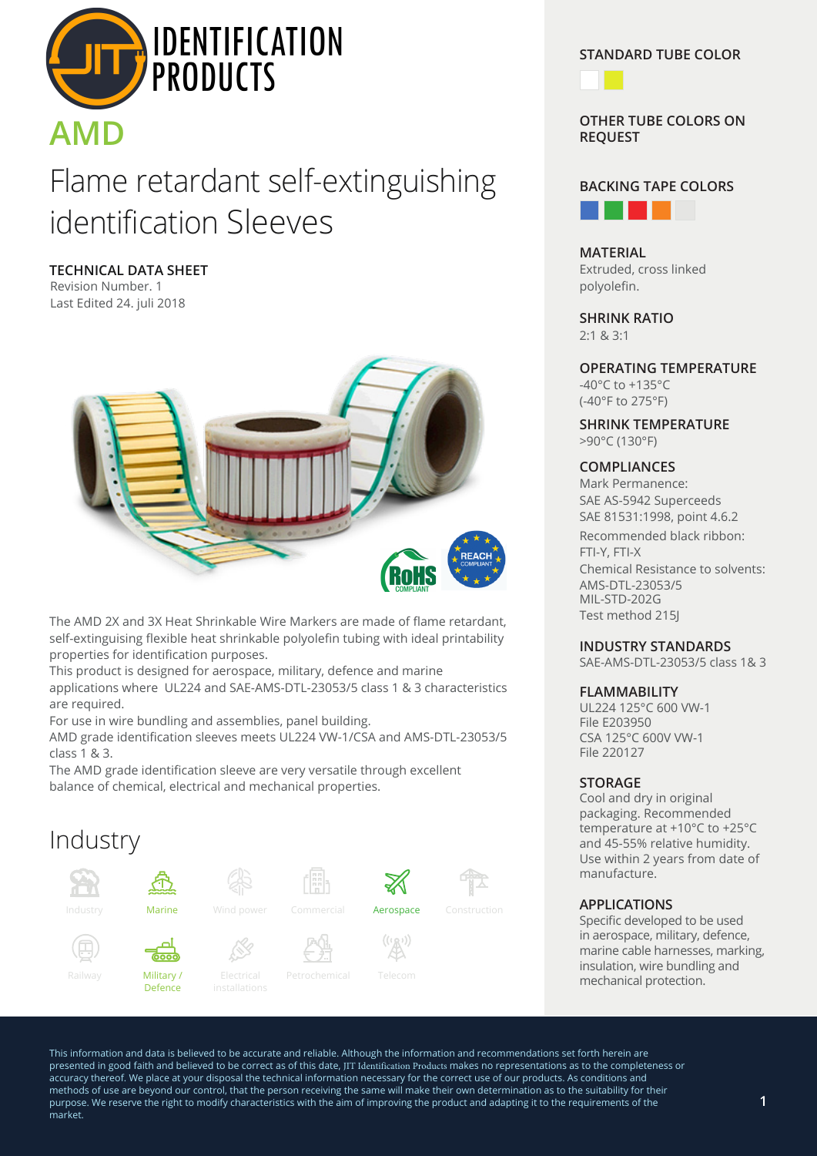

# Flame retardant self-extinguishing identification Sleeves

**TECHNICAL DATA SHEET** Revision Number. 1 Last Edited 24. juli 2018



The AMD 2X and 3X Heat Shrinkable Wire Markers are made of flame retardant, self-extinguising flexible heat shrinkable polyolefin tubing with ideal printability properties for identification purposes.

This product is designed for aerospace, military, defence and marine applications where UL224 and SAE-AMS-DTL-23053/5 class 1 & 3 characteristics are required.

For use in wire bundling and assemblies, panel building.

AMD grade identification sleeves meets UL224 VW-1/CSA and AMS-DTL-23053/5 class 1 & 3.

The AMD grade identification sleeve are very versatile through excellent balance of chemical, electrical and mechanical properties.

## Industry



**STANDARD TUBE COLOR**



**OTHER TUBE COLORS ON REQUEST**



**MATERIAL** Extruded, cross linked polyolefin.

**SHRINK RATIO** 2:1 & 3:1

**OPERATING TEMPERATURE** -40°C to +135°C (-40°F to 275°F)

**SHRINK TEMPERATURE** >90°C (130°F)

### **COMPLIANCES**

Mark Permanence: SAE AS-5942 Superceeds SAE 81531:1998, point 4.6.2 Recommended black ribbon: FTI-Y, FTI-X Chemical Resistance to solvents: AMS-DTL-23053/5 MIL-STD-202G Test method 215J

#### **INDUSTRY STANDARDS**

SAE-AMS-DTL-23053/5 class 1& 3

#### **FLAMMABILITY**

UL224 125°C 600 VW-1 File E203950 CSA 125°C 600V VW-1 File 220127

### **STORAGE**

Cool and dry in original packaging. Recommended temperature at +10°C to +25°C and 45-55% relative humidity. Use within 2 years from date of manufacture.

### **APPLICATIONS**

Specific developed to be used in aerospace, military, defence, marine cable harnesses, marking, insulation, wire bundling and mechanical protection.

This information and data is believed to be accurate and reliable. Although the information and recommendations set forth herein are presented in good faith and believed to be correct as of this date, JIT Identification Products makes no representations as to the completeness or accuracy thereof. We place at your disposal the technical information necessary for the correct use of our products. As conditions and methods of use are beyond our control, that the person receiving the same will make their own determination as to the suitability for their purpose. We reserve the right to modify characteristics with the aim of improving the product and adapting it to the requirements of the market.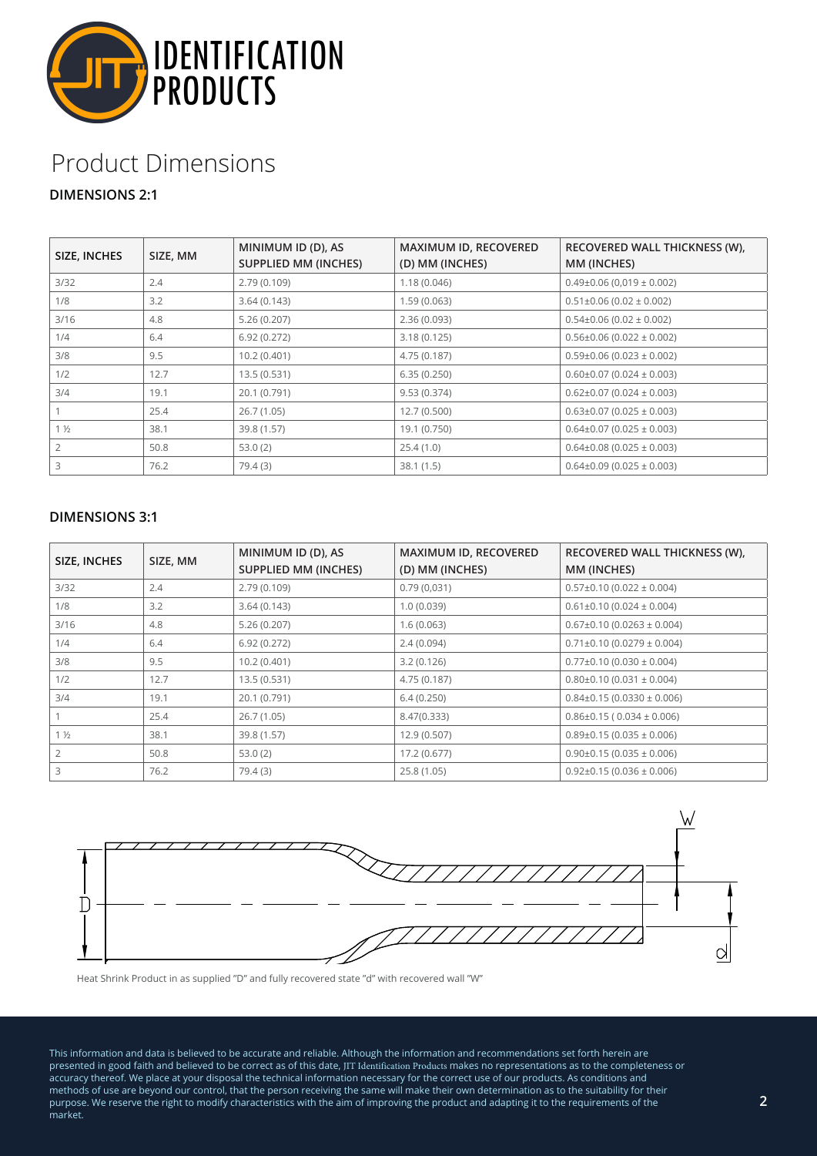

## Product Dimensions

## **DIMENSIONS 2:1**

| SIZE, INCHES   | SIZE, MM | MINIMUM ID (D), AS<br><b>SUPPLIED MM (INCHES)</b> | MAXIMUM ID, RECOVERED<br>(D) MM (INCHES) | RECOVERED WALL THICKNESS (W),<br>MM (INCHES) |
|----------------|----------|---------------------------------------------------|------------------------------------------|----------------------------------------------|
| 3/32           | 2.4      | 2.79(0.109)                                       | 1.18(0.046)                              | $0.49\pm0.06$ (0,019 $\pm$ 0.002)            |
| 1/8            | 3.2      | 3.64(0.143)                                       | 1.59(0.063)                              | $0.51\pm0.06$ (0.02 $\pm$ 0.002)             |
| 3/16           | 4.8      | 5.26(0.207)                                       | 2.36(0.093)                              | $0.54\pm0.06$ (0.02 $\pm$ 0.002)             |
| 1/4            | 6.4      | 6.92(0.272)                                       | 3.18(0.125)                              | $0.56\pm0.06$ (0.022 $\pm$ 0.002)            |
| 3/8            | 9.5      | 10.2(0.401)                                       | 4.75 (0.187)                             | $0.59\pm0.06$ (0.023 $\pm$ 0.002)            |
| 1/2            | 12.7     | 13.5(0.531)                                       | 6.35(0.250)                              | $0.60\pm0.07$ (0.024 $\pm$ 0.003)            |
| 3/4            | 19.1     | 20.1 (0.791)                                      | 9.53(0.374)                              | $0.62\pm0.07$ (0.024 $\pm$ 0.003)            |
|                | 25.4     | 26.7(1.05)                                        | 12.7(0.500)                              | $0.63\pm0.07$ (0.025 $\pm$ 0.003)            |
| $1\frac{1}{2}$ | 38.1     | 39.8 (1.57)                                       | 19.1 (0.750)                             | $0.64\pm0.07$ (0.025 $\pm$ 0.003)            |
|                | 50.8     | 53.0(2)                                           | 25.4(1.0)                                | $0.64\pm0.08$ (0.025 $\pm$ 0.003)            |
|                | 76.2     | 79.4(3)                                           | 38.1(1.5)                                | $0.64\pm0.09$ (0.025 $\pm$ 0.003)            |

## **DIMENSIONS 3:1**

| SIZE, INCHES   | SIZE, MM | MINIMUM ID (D), AS<br><b>SUPPLIED MM (INCHES)</b> | MAXIMUM ID, RECOVERED<br>(D) MM (INCHES) | RECOVERED WALL THICKNESS (W),<br>MM (INCHES) |
|----------------|----------|---------------------------------------------------|------------------------------------------|----------------------------------------------|
| 3/32           | 2.4      | 2.79(0.109)                                       | 0.79(0.031)                              | $0.57\pm0.10$ (0.022 $\pm$ 0.004)            |
| 1/8            | 3.2      | 3.64(0.143)                                       | 1.0(0.039)                               | $0.61\pm0.10$ (0.024 $\pm$ 0.004)            |
| 3/16           | 4.8      | 5.26(0.207)                                       | 1.6(0.063)                               | $0.67\pm0.10$ (0.0263 $\pm$ 0.004)           |
| 1/4            | 6.4      | 6.92(0.272)                                       | 2.4(0.094)                               | $0.71\pm0.10$ (0.0279 $\pm$ 0.004)           |
| 3/8            | 9.5      | 10.2(0.401)                                       | 3.2(0.126)                               | $0.77\pm0.10$ (0.030 $\pm$ 0.004)            |
| 1/2            | 12.7     | 13.5(0.531)                                       | 4.75 (0.187)                             | $0.80\pm0.10$ (0.031 $\pm$ 0.004)            |
| 3/4            | 19.1     | 20.1 (0.791)                                      | 6.4(0.250)                               | $0.84\pm0.15(0.0330\pm0.006)$                |
|                | 25.4     | 26.7(1.05)                                        | 8.47(0.333)                              | $0.86\pm0.15$ ( $0.034\pm0.006$ )            |
| $1\frac{1}{2}$ | 38.1     | 39.8 (1.57)                                       | 12.9 (0.507)                             | $0.89\pm0.15(0.035\pm0.006)$                 |
|                | 50.8     | 53.0(2)                                           | 17.2 (0.677)                             | $0.90\pm0.15(0.035\pm0.006)$                 |
| 3              | 76.2     | 79.4 (3)                                          | 25.8 (1.05)                              | $0.92\pm0.15(0.036\pm0.006)$                 |



Heat Shrink Product in as supplied "D" and fully recovered state "d" with recovered wall "W"

This information and data is believed to be accurate and reliable. Although the information and recommendations set forth herein are presented in good faith and believed to be correct as of this date, JIT Identification Products makes no representations as to the completeness or accuracy thereof. We place at your disposal the technical information necessary for the correct use of our products. As conditions and methods of use are beyond our control, that the person receiving the same will make their own determination as to the suitability for their purpose. We reserve the right to modify characteristics with the aim of improving the product and adapting it to the requirements of the market.